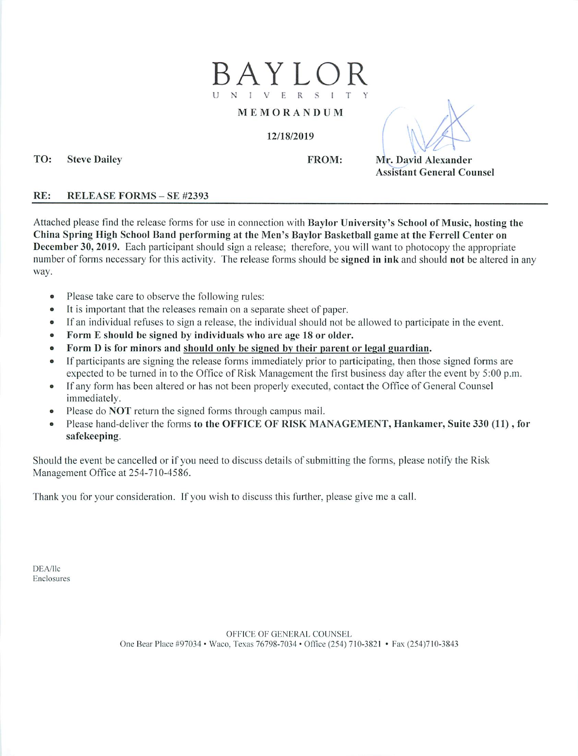

#### MEMORANDUM

#### 12/18/2019

FROM: Mr. David Alexander Assistant General Counsel

## RE: RELEASE FORMS - SE #2393

TO: Steve Dailey

Attached please find the release forms for use in connection with Baylor University's School of Music, hosting the China Spring High School Band performing at the Men's Baylor Basketball game at the Ferrell Center on December 30,2019. Each participant should sign a release; therefore, you will want to photocopy the appropriate number of forms necessary for this activity. The release forms should be signed in ink and should not be altered in any way.

- Please take care to observe the following rules:
- It is important that the releases remain on a separate sheet of paper.
- If an individual refuses to sign a release, the individual should not be allowed to participate in the event.
- Form E should be signed by individuals who are age 18 or older.
- Form D is for minors and should onlv be signed bv their parent or legal guardian.
- If participants are signing the release forms immediately prior to participating, then those signed forms are expected to be turned in to the Office of Risk Management the first business day after the event by 5:00 p.m.
- If any form has been altered or has not been properly executed, contact the Office of General Counsel immediately.
- Please do NOT return the signed forms through campus mail.
- Please hand-deliver the forms to the OFFICE OF RISK MANAGEMENT, Hankamer, Suite 330 (11) , for safekeeping.

Should the event be cancelled or if you need to discuss details of submitting the forms, please notify the Risk Management Office at 254-710-4586.

Thank you for your consideration. If you wish to discuss this further, please give me a call.

DEA/llc Enclosures

> One Bear Place #97034 • Waco, Texas 76798-7034 • Office (254) 710-3821 • Fax (254)710-3843 OFFICE OF GENERAL COUNSEL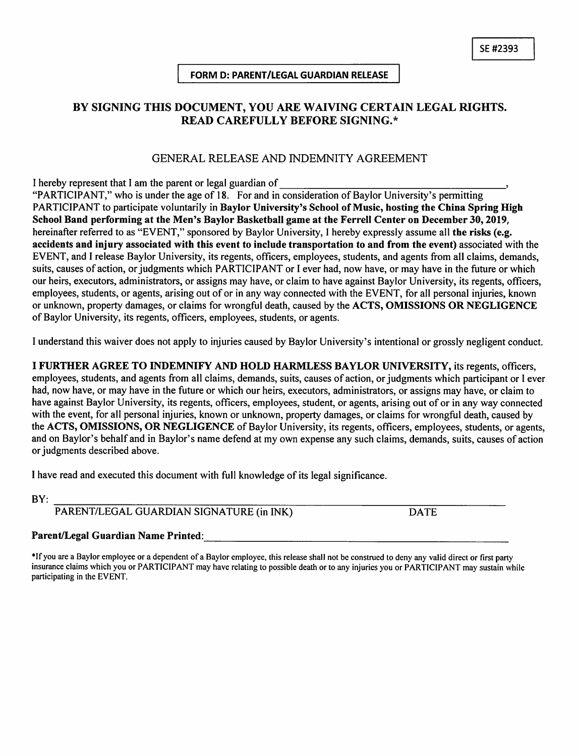### FORM D: PARENT/LEGAL GUARDIAN RELEASE

# BY SIGNING THIS DOCUMENT, YOU ARE WAIVING CERTAIN LEGAL RIGHTS. **READ CAREFULLY BEFORE SIGNING.\***

## GENERAL RELEASE AND INDEMNITY AGREEMENT

I hereby represent that I am the parent or legal guardian of

"PARTICIPANT," who is under the age of 18. For and in consideration of Baylor University's permitting PARTICIPANT to participate voluntarily in Baylor University's School of Music, hosting the China Spring High School Band performing at the Men's Baylor Basketball game at the Ferrell Center on December 30, 2019, hereinafter referred to as "EVENT," sponsored by Baylor University, I hereby expressly assume all the risks (e.g. accidents and injury associated with this event to include transportation to and from the event) associated with the EVENT, and I release Baylor University, its regents, officers, employees, students, and agents from all claims, demands, suits, causes of action, or judgments which PARTICIPANT or I ever had, now have, or may have in the future or which our heirs, executors, administrators, or assigns may have, or claim to have against Baylor University, its regents, officers, employees, students, or agents, arising out of or in any way connected with the EVENT, for all personal injuries, known or unknown, property damages, or claims for wrongful death, caused by the ACTS, OMISSIONS OR NEGLIGENCE of Baylor University, its regents, officers, employees, students, or agents.

I understand this waiver does not apply to injuries caused by Baylor University's intentional or grossly negligent conduct.

I FURTHER AGREE TO INDEMNIFY AND HOLD HARMLESS BAYLOR UNIVERSITY, its regents, officers, employees, students, and agents from all claims, demands, suits, causes of action, or judgments which participant or I ever had, now have, or may have in the future or which our heirs, executors, administrators, or assigns may have, or claim to have against Baylor University, its regents, officers, employees, student, or agents, arising out of or in any way connected with the event, for all personal injuries, known or unknown, property damages, or claims for wrongful death, caused by the ACTS, OMISSIONS, OR NEGLIGENCE of Baylor University, its regents, officers, employees, students, or agents, and on Baylor's behalf and in Baylor's name defend at my own expense any such claims, demands, suits, causes of action or judgments described above.

I have read and executed this document with full knowledge of its legal significance.

BY:

PARENT/LEGAL GUARDIAN SIGNATURE (in INK)

**DATE** 

### Parent/Legal Guardian Name Printed:

\*If you are a Baylor employee or a dependent of a Baylor employee, this release shall not be construed to deny any valid direct or first party insurance claims which you or PARTICIPANT may have relating to possible death or to any injuries you or PARTICIPANT may sustain while participating in the EVENT.